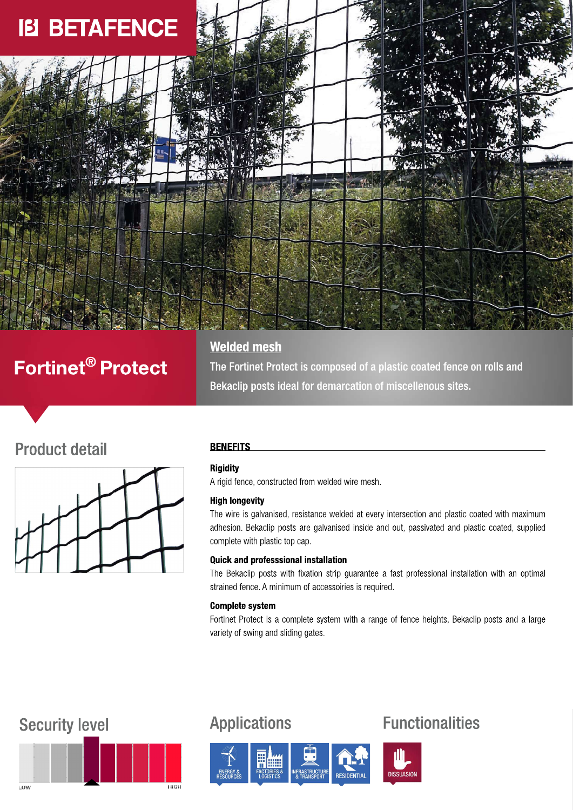

# Fortinet<sup>®</sup> Protect

**Welded mesh** 

The Fortinet Protect is composed of a plastic coated fence on rolls and Bekaclip posts ideal for demarcation of miscellenous sites.

## **Product detail**



## **BENEFITS**

## **Rigidity**

A rigid fence, constructed from welded wire mesh.

### **High longevity**

The wire is galvanised, resistance welded at every intersection and plastic coated with maximum adhesion. Bekaclip posts are galvanised inside and out, passivated and plastic coated, supplied complete with plastic top cap.

### **Quick and professsional installation**

The Bekaclip posts with fixation strip guarantee a fast professional installation with an optimal strained fence. A minimum of accessoiries is required.

## **Complete system**

Fortinet Protect is a complete system with a range of fence heights, Bekaclip posts and a large variety of swing and sliding gates.

## **Security level**



## **Applications**



## **Functionalities**